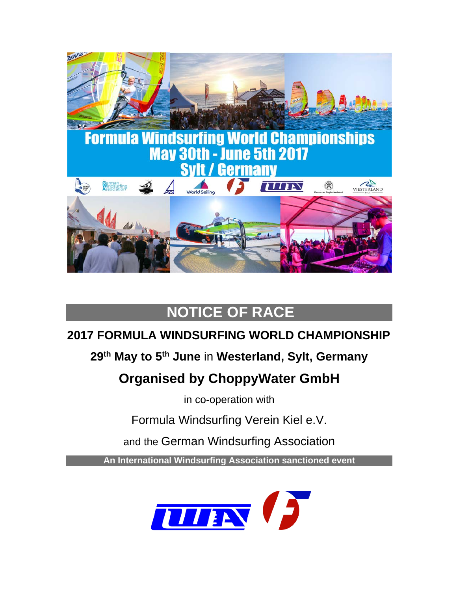

# **NOTICE OF RACE**

# **2017 FORMULA WINDSURFING WORLD CHAMPIONSHIP**

### **29th May to 5th June** in **Westerland, Sylt, Germany**

# **Organised by ChoppyWater GmbH**

in co-operation with

Formula Windsurfing Verein Kiel e.V.

and the German Windsurfing Association

**An International Windsurfing Association sanctioned event**

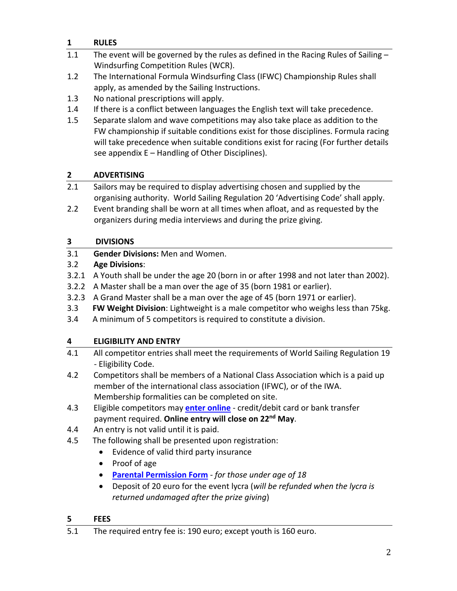### **1 RULES**

- 1.1 The event will be governed by the rules as defined in the Racing Rules of Sailing Windsurfing Competition Rules (WCR).
- 1.2 The International Formula Windsurfing Class (IFWC) Championship Rules shall apply, as amended by the Sailing Instructions.
- 1.3 No national prescriptions will apply.
- 1.4 If there is a conflict between languages the English text will take precedence.
- 1.5 Separate slalom and wave competitions may also take place as addition to the FW championship if suitable conditions exist for those disciplines. Formula racing will take precedence when suitable conditions exist for racing (For further details see appendix E – Handling of Other Disciplines).

### **2 ADVERTISING**

- 2.1 Sailors may be required to display advertising chosen and supplied by the organising authority. World Sailing Regulation 20 'Advertising Code' shall apply.
- 2.2 Event branding shall be worn at all times when afloat, and as requested by the organizers during media interviews and during the prize giving.

### **3 DIVISIONS**

3.1 **Gender Divisions:** Men and Women.

### 3.2 **Age Divisions**:

- 3.2.1 A Youth shall be under the age 20 (born in or after 1998 and not later than 2002).
- 3.2.2 A Master shall be a man over the age of 35 (born 1981 or earlier).
- 3.2.3 A Grand Master shall be a man over the age of 45 (born 1971 or earlier).
- 3.3 **FW Weight Division**: Lightweight is a male competitor who weighs less than 75kg.
- 3.4 A minimum of 5 competitors is required to constitute a division.

### **4 ELIGIBILITY AND ENTRY**

- 4.1 All competitor entries shall meet the requirements of World Sailing Regulation 19 - Eligibility Code.
- 4.2 Competitors shall be members of a National Class Association which is a paid up member of the international class association (IFWC), or of the IWA. Membership formalities can be completed on site.
- 4.3 Eligible competitors may **enter [online](https://registration.internationalwindsurfing.com/en/events/register/id/83)** credit/debit card or bank transfer payment required. **Online entry will close on 22nd May**.
- 4.4 An entry is not valid until it is paid.
- 4.5 The following shall be presented upon registration:
	- Evidence of valid third party insurance
	- Proof of age
	- **[Parental Permission Form](http://www.internationalwindsurfing.com/userfiles/documents/Parental_Permission_Form_FW_Worlds_2017_Germany.pdf)** *for those under age of 18*
	- Deposit of 20 euro for the event lycra (*will be refunded when the lycra is returned undamaged after the prize giving*)

### **5 FEES**

<sup>5.1</sup> The required entry fee is: 190 euro; except youth is 160 euro.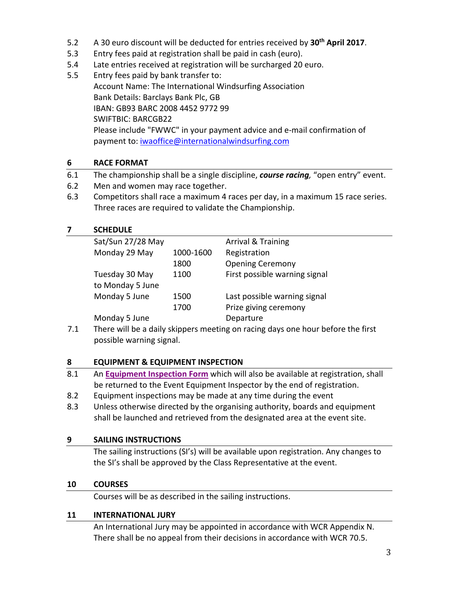- 5.2 A 30 euro discount will be deducted for entries received by **30th April 2017**.
- 5.3 Entry fees paid at registration shall be paid in cash (euro).
- 5.4 Late entries received at registration will be surcharged 20 euro.
- 5.5 Entry fees paid by bank transfer to: Account Name: The International Windsurfing Association Bank Details: Barclays Bank Plc, GB IBAN: GB93 BARC 2008 4452 9772 99 SWIFTBIC: BARCGB22 Please include "FWWC" in your payment advice and e-mail confirmation of payment to: [iwaoffice@internationalwindsurfing.com](mailto:iwaoffice@internationalwindsurfing.com)

### **6 RACE FORMAT**

- 6.1 The championship shall be a single discipline, *course racing,* "open entry" event.
- 6.2 Men and women may race together.
- 6.3 Competitors shall race a maximum 4 races per day, in a maximum 15 race series. Three races are required to validate the Championship.

### **7 SCHEDULE**

| Sat/Sun 27/28 May |           | <b>Arrival &amp; Training</b> |
|-------------------|-----------|-------------------------------|
| Monday 29 May     | 1000-1600 | Registration                  |
|                   | 1800      | <b>Opening Ceremony</b>       |
| Tuesday 30 May    | 1100      | First possible warning signal |
| to Monday 5 June  |           |                               |
| Monday 5 June     | 1500      | Last possible warning signal  |
|                   | 1700      | Prize giving ceremony         |
| Monday 5 June     |           | Departure                     |
|                   |           |                               |

7.1 There will be a daily skippers meeting on racing days one hour before the first possible warning signal.

### **8 EQUIPMENT & EQUIPMENT INSPECTION**

- 8.1 An **[Equipment Inspection Form](https://form.jotform.com/60396130644958)** which will also be available at registration, shall be returned to the Event Equipment Inspector by the end of registration.
- 8.2 Equipment inspections may be made at any time during the event
- 8.3 Unless otherwise directed by the organising authority, boards and equipment shall be launched and retrieved from the designated area at the event site.

### **9 SAILING INSTRUCTIONS**

The sailing instructions (SI's) will be available upon registration. Any changes to the SI's shall be approved by the Class Representative at the event.

### **10 COURSES**

Courses will be as described in the sailing instructions.

### **11 INTERNATIONAL JURY**

An International Jury may be appointed in accordance with WCR Appendix N. There shall be no appeal from their decisions in accordance with WCR 70.5.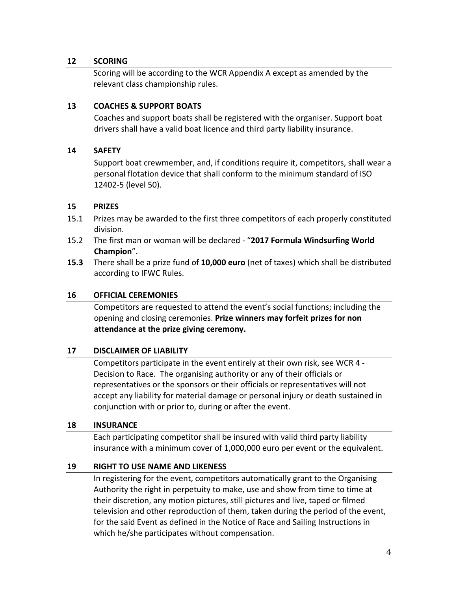### **12 SCORING**

Scoring will be according to the WCR Appendix A except as amended by the relevant class championship rules.

### **13 COACHES & SUPPORT BOATS**

Coaches and support boats shall be registered with the organiser. Support boat drivers shall have a valid boat licence and third party liability insurance.

### **14 SAFETY**

Support boat crewmember, and, if conditions require it, competitors, shall wear a personal flotation device that shall conform to the minimum standard of ISO 12402-5 (level 50).

### **15 PRIZES**

- 15.1 Prizes may be awarded to the first three competitors of each properly constituted division.
- 15.2 The first man or woman will be declared "**2017 Formula Windsurfing World Champion**".
- **15.3** There shall be a prize fund of **10,000 euro** (net of taxes) which shall be distributed according to IFWC Rules.

### **16 OFFICIAL CEREMONIES**

Competitors are requested to attend the event's social functions; including the opening and closing ceremonies. **Prize winners may forfeit prizes for non attendance at the prize giving ceremony.**

### **17 DISCLAIMER OF LIABILITY**

Competitors participate in the event entirely at their own risk, see WCR 4 - Decision to Race. The organising authority or any of their officials or representatives or the sponsors or their officials or representatives will not accept any liability for material damage or personal injury or death sustained in conjunction with or prior to, during or after the event.

### **18 INSURANCE**

Each participating competitor shall be insured with valid third party liability insurance with a minimum cover of 1,000,000 euro per event or the equivalent.

### **19 RIGHT TO USE NAME AND LIKENESS**

In registering for the event, competitors automatically grant to the Organising Authority the right in perpetuity to make, use and show from time to time at their discretion, any motion pictures, still pictures and live, taped or filmed television and other reproduction of them, taken during the period of the event, for the said Event as defined in the Notice of Race and Sailing Instructions in which he/she participates without compensation.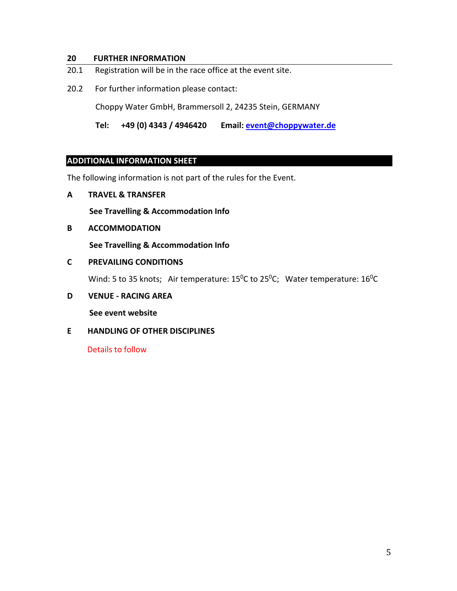### **20 FURTHER INFORMATION**

- 20.1 Registration will be in the race office at the event site.
- 20.2 For further information please contact:

Choppy Water GmbH, Brammersoll 2, 24235 Stein, GERMANY

 **Tel: +49 (0) 4343 / 4946420 Email: [event@choppywater.de](mailto:event@choppywater.de)**

### **ADDITIONAL INFORMATION SHEET**

The following information is not part of the rules for the Event.

**A TRAVEL & TRANSFER**

 **See Travelling & Accommodation Info**

**B ACCOMMODATION**

 **See Travelling & Accommodation Info**

### **C PREVAILING CONDITIONS**

Wind: 5 to 35 knots; Air temperature: 15<sup>0</sup>C to 25<sup>0</sup>C; Water temperature: 16<sup>0</sup>C

**D VENUE - RACING AREA**

 **See event website**

**E HANDLING OF OTHER DISCIPLINES**

Details to follow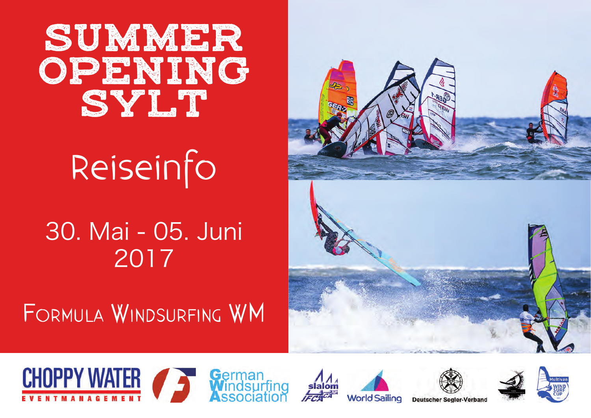# SUMMER OPENING SYLT<sup>.</sup>

# Reiseinfo

30. Mai - 05. Juni 2017

Formula WindsurFing Wm













**Deutscher Segler-Verband**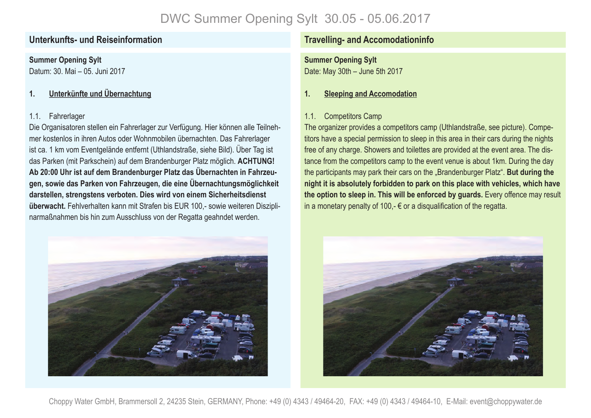**Summer Opening Sylt** Datum: 30. Mai – 05. Juni 2017

### **1. Unterkünfte und Übernachtung**

### 1.1. Fahrerlager

Die Organisatoren stellen ein Fahrerlager zur Verfügung. Hier können alle Teilnehmer kostenlos in ihren Autos oder Wohnmobilen übernachten. Das Fahrerlager ist ca. 1 km vom Eventgelände entfernt (Uthlandstraße, siehe Bild). Über Tag ist das Parken (mit Parkschein) auf dem Brandenburger Platz möglich. **ACHTUNG! Ab 20:00 Uhr ist auf dem Brandenburger Platz das Übernachten in Fahrzeugen, sowie das Parken von Fahrzeugen, die eine Übernachtungsmöglichkeit darstellen, strengstens verboten. Dies wird von einem Sicherheitsdienst überwacht.** Fehlverhalten kann mit Strafen bis EUR 100,- sowie weiteren Disziplinarmaßnahmen bis hin zum Ausschluss von der Regatta geahndet werden.



### **Unterkunfts- und Reiseinformation Travelling- and Accomodationinfo**

**Summer Opening Sylt** Date: May 30th – June 5th 2017

### **1. Sleeping and Accomodation**

### 1.1. Competitors Camp

The organizer provides a competitors camp (Uthlandstraße, see picture). Competitors have a special permission to sleep in this area in their cars during the nights free of any charge. Showers and toilettes are provided at the event area. The distance from the competitors camp to the event venue is about 1km. During the day the participants may park their cars on the "Brandenburger Platz". **But during the night it is absolutely forbidden to park on this place with vehicles, which have the option to sleep in. This will be enforced by guards.** Every offence may result in a monetary penalty of 100,-  $\epsilon$  or a disqualification of the regatta.



Choppy Water GmbH, Brammersoll 2, 24235 Stein, GERMANY, Phone: +49 (0) 4343 / 49464-20, FAX: +49 (0) 4343 / 49464-10, E-Mail: event@choppywater.de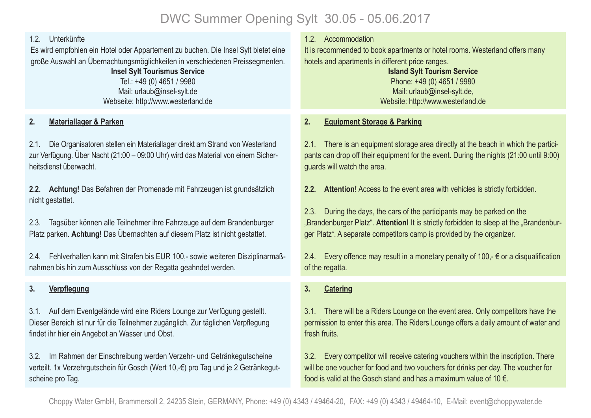### 1.2. Unterkünfte

Es wird empfohlen ein Hotel oder Appartement zu buchen. Die Insel Sylt bietet eine große Auswahl an Übernachtungsmöglichkeiten in verschiedenen Preissegmenten.

> **Insel Sylt Tourismus Service**  Tel.: +49 (0) 4651 / 9980 Mail: urlaub@insel-sylt.de Webseite: http://www.westerland.de

### **2. Materiallager & Parken**

2.1. Die Organisatoren stellen ein Materiallager direkt am Strand von Westerland zur Verfügung. Über Nacht (21:00 – 09:00 Uhr) wird das Material von einem Sicherheitsdienst überwacht.

**2.2. Achtung!** Das Befahren der Promenade mit Fahrzeugen ist grundsätzlich nicht gestattet.

2.3. Tagsüber können alle Teilnehmer ihre Fahrzeuge auf dem Brandenburger Platz parken. **Achtung!** Das Übernachten auf diesem Platz ist nicht gestattet.

2.4. Fehlverhalten kann mit Strafen bis EUR 100,- sowie weiteren Disziplinarmaßnahmen bis hin zum Ausschluss von der Regatta geahndet werden.

### **3. Verpflegung**

3.1. Auf dem Eventgelände wird eine Riders Lounge zur Verfügung gestellt. Dieser Bereich ist nur für die Teilnehmer zugänglich. Zur täglichen Verpflegung findet ihr hier ein Angebot an Wasser und Obst.

3.2. Im Rahmen der Einschreibung werden Verzehr- und Getränkegutscheine verteilt. 1x Verzehrgutschein für Gosch (Wert 10,-€) pro Tag und je 2 Getränkegutscheine pro Tag.

1.2. Accommodation

It is recommended to book apartments or hotel rooms. Westerland offers many hotels and apartments in different price ranges.

**Island Sylt Tourism Service** Phone: +49 (0) 4651 / 9980 Mail: urlaub@insel-sylt.de, Website: http://www.westerland.de

### **2. Equipment Storage & Parking**

2.1. There is an equipment storage area directly at the beach in which the participants can drop off their equipment for the event. During the nights (21:00 until 9:00) guards will watch the area.

**2.2. Attention!** Access to the event area with vehicles is strictly forbidden.

2.3. During the days, the cars of the participants may be parked on the .Brandenburger Platz". Attention! It is strictly forbidden to sleep at the .Brandenburger Platz". A separate competitors camp is provided by the organizer.

2.4. Every offence may result in a monetary penalty of 100,-  $\epsilon$  or a disqualification of the regatta.

### **3. Catering**

3.1. There will be a Riders Lounge on the event area. Only competitors have the permission to enter this area. The Riders Lounge offers a daily amount of water and fresh fruits.

3.2. Every competitor will receive catering vouchers within the inscription. There will be one voucher for food and two vouchers for drinks per day. The voucher for food is valid at the Gosch stand and has a maximum value of 10  $\epsilon$ .

Choppy Water GmbH, Brammersoll 2, 24235 Stein, GERMANY, Phone: +49 (0) 4343 / 49464-20, FAX: +49 (0) 4343 / 49464-10, E-Mail: event@choppywater.de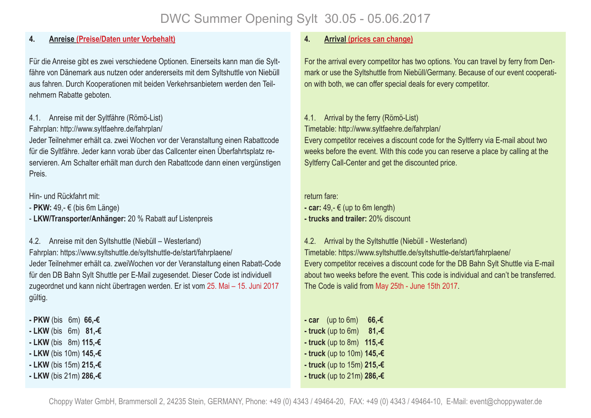### **4. Anreise (Preise/Daten unter Vorbehalt)**

Für die Anreise gibt es zwei verschiedene Optionen. Einerseits kann man die Syltfähre von Dänemark aus nutzen oder andererseits mit dem Syltshuttle von Niebüll aus fahren. Durch Kooperationen mit beiden Verkehrsanbietern werden den Teilnehmern Rabatte geboten.

### 4.1. Anreise mit der Syltfähre (Römö-List)

### Fahrplan: http://www.syltfaehre.de/fahrplan/

Jeder Teilnehmer erhält ca. zwei Wochen vor der Veranstaltung einen Rabattcode für die Syltfähre. Jeder kann vorab über das Callcenter einen Überfahrtsplatz reservieren. Am Schalter erhält man durch den Rabattcode dann einen vergünstigen Preis.

Hin- und Rückfahrt mit:

- **PKW:** 49,- € (bis 6m Länge)

- **LKW/Transporter/Anhänger:** 20 % Rabatt auf Listenpreis

4.2. Anreise mit den Syltshuttle (Niebüll – Westerland)

Fahrplan: https://www.syltshuttle.de/syltshuttle-de/start/fahrplaene/ Jeder Teilnehmer erhält ca. zweiWochen vor der Veranstaltung einen Rabatt-Code für den DB Bahn Sylt Shuttle per E-Mail zugesendet. Dieser Code ist individuell zugeordnet und kann nicht übertragen werden. Er ist vom 25. Mai – 15. Juni 2017 gültig.

- **PKW** (bis 6m) **66,-€**
- **LKW** (bis 6m) **81,-€**
- **LKW** (bis 8m) **115,-€**
- **LKW** (bis 10m) **145,-€**
- **LKW** (bis 15m) **215,-€**
- **LKW** (bis 21m) **286,-€**

### **4. Arrival (prices can change)**

For the arrival every competitor has two options. You can travel by ferry from Denmark or use the Syltshuttle from Niebüll/Germany. Because of our event cooperation with both, we can offer special deals for every competitor.

### 4.1. Arrival by the ferry (Römö-List)

Timetable: http://www.syltfaehre.de/fahrplan/

Every competitor receives a discount code for the Syltferry via E-mail about two weeks before the event. With this code you can reserve a place by calling at the Syltferry Call-Center and get the discounted price.

return fare:

 $-$  **car:** 49, $- \in$  (up to 6m length)

**- trucks and trailer:** 20% discount

4.2. Arrival by the Syltshuttle (Niebüll - Westerland) Timetable: https://www.syltshuttle.de/syltshuttle-de/start/fahrplaene/ Every competitor receives a discount code for the DB Bahn Sylt Shuttle via E-mail about two weeks before the event. This code is individual and can't be transferred. The Code is valid from May 25th - June 15th 2017.

**- car** (up to 6m) **66,-€ - truck** (up to 6m) **81,-€ - truck** (up to 8m) **115,-€ - truck** (up to 10m) **145,-€ - truck** (up to 15m) **215,-€ - truck** (up to 21m) **286,-€**